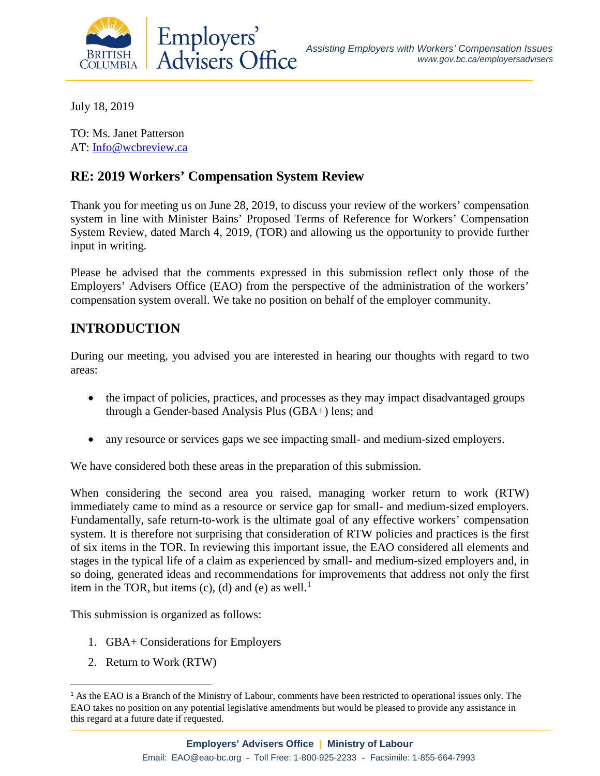

July 18, 2019

TO: Ms. Janet Patterson AT: [Info@wcbreview.ca](mailto:Info@wcbreview.ca)

### **RE: 2019 Workers' Compensation System Review**

Thank you for meeting us on June 28, 2019, to discuss your review of the workers' compensation system in line with Minister Bains' Proposed Terms of Reference for Workers' Compensation System Review, dated March 4, 2019, (TOR) and allowing us the opportunity to provide further input in writing.

Please be advised that the comments expressed in this submission reflect only those of the Employers' Advisers Office (EAO) from the perspective of the administration of the workers' compensation system overall. We take no position on behalf of the employer community.

# **INTRODUCTION**

During our meeting, you advised you are interested in hearing our thoughts with regard to two areas:

- the impact of policies, practices, and processes as they may impact disadvantaged groups through a Gender-based Analysis Plus (GBA+) lens; and
- any resource or services gaps we see impacting small- and medium-sized employers.

We have considered both these areas in the preparation of this submission.

When considering the second area you raised, managing worker return to work (RTW) immediately came to mind as a resource or service gap for small- and medium-sized employers. Fundamentally, safe return-to-work is the ultimate goal of any effective workers' compensation system. It is therefore not surprising that consideration of RTW policies and practices is the first of six items in the TOR. In reviewing this important issue, the EAO considered all elements and stages in the typical life of a claim as experienced by small- and medium-sized employers and, in so doing, generated ideas and recommendations for improvements that address not only the first item in the TOR, but items  $(c)$ ,  $(d)$  and  $(e)$  as well.<sup>[1](#page-0-0)</sup>

This submission is organized as follows:

- 1. GBA+ Considerations for Employers
- 2. Return to Work (RTW)

 $\overline{a}$ 

<span id="page-0-0"></span><sup>&</sup>lt;sup>1</sup> As the EAO is a Branch of the Ministry of Labour, comments have been restricted to operational issues only. The EAO takes no position on any potential legislative amendments but would be pleased to provide any assistance in this regard at a future date if requested.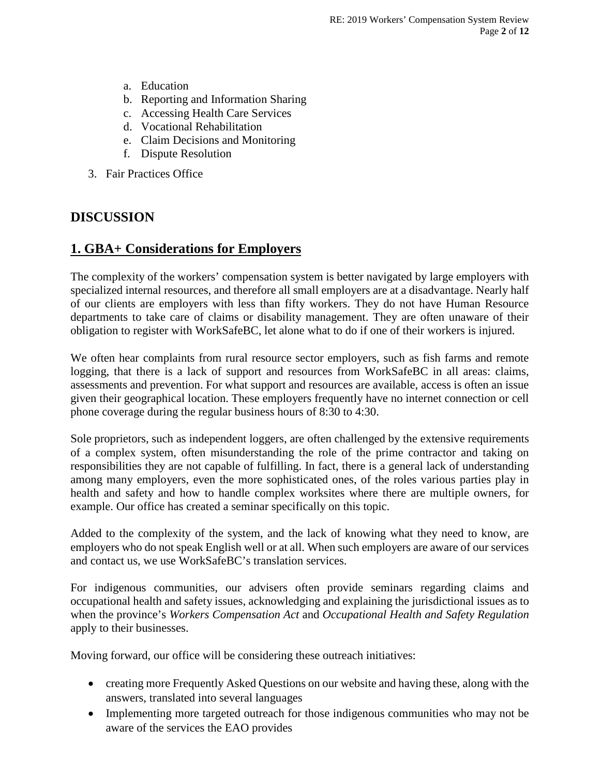- a. Education
- b. Reporting and Information Sharing
- c. Accessing Health Care Services
- d. Vocational Rehabilitation
- e. Claim Decisions and Monitoring
- f. Dispute Resolution
- 3. Fair Practices Office

## **DISCUSSION**

## **1. GBA+ Considerations for Employers**

The complexity of the workers' compensation system is better navigated by large employers with specialized internal resources, and therefore all small employers are at a disadvantage. Nearly half of our clients are employers with less than fifty workers. They do not have Human Resource departments to take care of claims or disability management. They are often unaware of their obligation to register with WorkSafeBC, let alone what to do if one of their workers is injured.

We often hear complaints from rural resource sector employers, such as fish farms and remote logging, that there is a lack of support and resources from WorkSafeBC in all areas: claims, assessments and prevention. For what support and resources are available, access is often an issue given their geographical location. These employers frequently have no internet connection or cell phone coverage during the regular business hours of 8:30 to 4:30.

Sole proprietors, such as independent loggers, are often challenged by the extensive requirements of a complex system, often misunderstanding the role of the prime contractor and taking on responsibilities they are not capable of fulfilling. In fact, there is a general lack of understanding among many employers, even the more sophisticated ones, of the roles various parties play in health and safety and how to handle complex worksites where there are multiple owners, for example. Our office has created a seminar specifically on this topic.

Added to the complexity of the system, and the lack of knowing what they need to know, are employers who do not speak English well or at all. When such employers are aware of our services and contact us, we use WorkSafeBC's translation services.

For indigenous communities, our advisers often provide seminars regarding claims and occupational health and safety issues, acknowledging and explaining the jurisdictional issues as to when the province's *Workers Compensation Act* and *Occupational Health and Safety Regulation* apply to their businesses.

Moving forward, our office will be considering these outreach initiatives:

- creating more Frequently Asked Questions on our website and having these, along with the answers, translated into several languages
- Implementing more targeted outreach for those indigenous communities who may not be aware of the services the EAO provides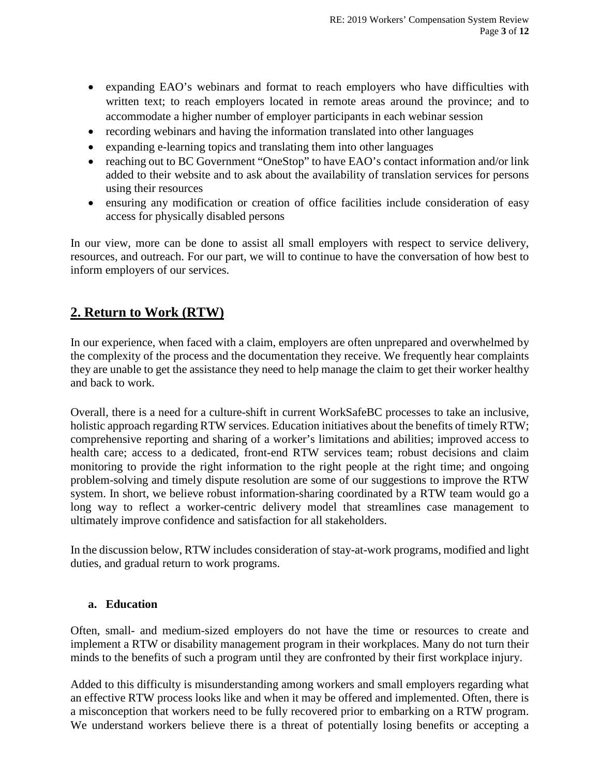- expanding EAO's webinars and format to reach employers who have difficulties with written text; to reach employers located in remote areas around the province; and to accommodate a higher number of employer participants in each webinar session
- recording webinars and having the information translated into other languages
- expanding e-learning topics and translating them into other languages
- reaching out to BC Government "OneStop" to have EAO's contact information and/or link added to their website and to ask about the availability of translation services for persons using their resources
- ensuring any modification or creation of office facilities include consideration of easy access for physically disabled persons

In our view, more can be done to assist all small employers with respect to service delivery, resources, and outreach. For our part, we will to continue to have the conversation of how best to inform employers of our services.

## **2. Return to Work (RTW)**

In our experience, when faced with a claim, employers are often unprepared and overwhelmed by the complexity of the process and the documentation they receive. We frequently hear complaints they are unable to get the assistance they need to help manage the claim to get their worker healthy and back to work.

Overall, there is a need for a culture-shift in current WorkSafeBC processes to take an inclusive, holistic approach regarding RTW services. Education initiatives about the benefits of timely RTW; comprehensive reporting and sharing of a worker's limitations and abilities; improved access to health care; access to a dedicated, front-end RTW services team; robust decisions and claim monitoring to provide the right information to the right people at the right time; and ongoing problem-solving and timely dispute resolution are some of our suggestions to improve the RTW system. In short, we believe robust information-sharing coordinated by a RTW team would go a long way to reflect a worker-centric delivery model that streamlines case management to ultimately improve confidence and satisfaction for all stakeholders.

In the discussion below, RTW includes consideration of stay-at-work programs, modified and light duties, and gradual return to work programs.

### **a. Education**

Often, small- and medium-sized employers do not have the time or resources to create and implement a RTW or disability management program in their workplaces. Many do not turn their minds to the benefits of such a program until they are confronted by their first workplace injury.

Added to this difficulty is misunderstanding among workers and small employers regarding what an effective RTW process looks like and when it may be offered and implemented. Often, there is a misconception that workers need to be fully recovered prior to embarking on a RTW program. We understand workers believe there is a threat of potentially losing benefits or accepting a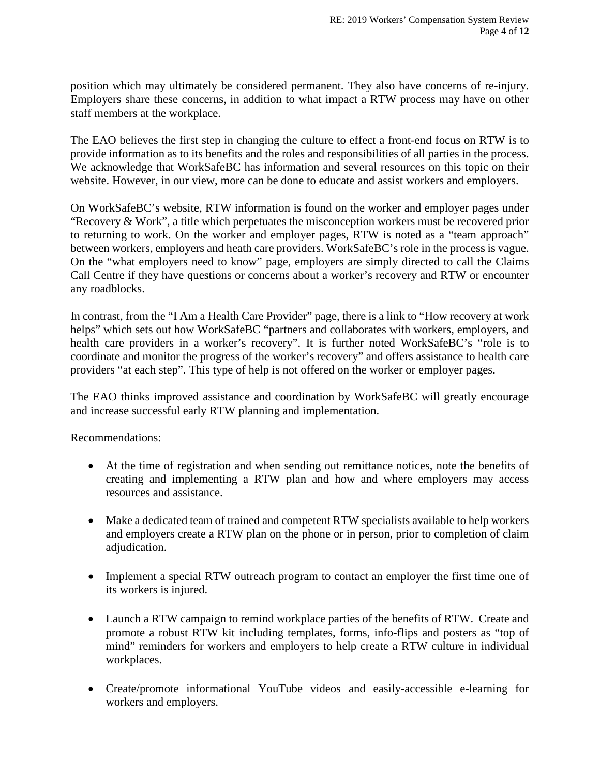position which may ultimately be considered permanent. They also have concerns of re-injury. Employers share these concerns, in addition to what impact a RTW process may have on other staff members at the workplace.

The EAO believes the first step in changing the culture to effect a front-end focus on RTW is to provide information as to its benefits and the roles and responsibilities of all parties in the process. We acknowledge that WorkSafeBC has information and several resources on this topic on their website. However, in our view, more can be done to educate and assist workers and employers.

On WorkSafeBC's website, RTW information is found on the worker and employer pages under "Recovery & Work", a title which perpetuates the misconception workers must be recovered prior to returning to work. On the worker and employer pages, RTW is noted as a "team approach" between workers, employers and heath care providers. WorkSafeBC's role in the process is vague. On the "what employers need to know" page, employers are simply directed to call the Claims Call Centre if they have questions or concerns about a worker's recovery and RTW or encounter any roadblocks.

In contrast, from the "I Am a Health Care Provider" page, there is a link to "How recovery at work helps" which sets out how WorkSafeBC "partners and collaborates with workers, employers, and health care providers in a worker's recovery". It is further noted WorkSafeBC's "role is to coordinate and monitor the progress of the worker's recovery" and offers assistance to health care providers "at each step". This type of help is not offered on the worker or employer pages.

The EAO thinks improved assistance and coordination by WorkSafeBC will greatly encourage and increase successful early RTW planning and implementation.

#### Recommendations:

- At the time of registration and when sending out remittance notices, note the benefits of creating and implementing a RTW plan and how and where employers may access resources and assistance.
- Make a dedicated team of trained and competent RTW specialists available to help workers and employers create a RTW plan on the phone or in person, prior to completion of claim adjudication.
- Implement a special RTW outreach program to contact an employer the first time one of its workers is injured.
- Launch a RTW campaign to remind workplace parties of the benefits of RTW. Create and promote a robust RTW kit including templates, forms, info-flips and posters as "top of mind" reminders for workers and employers to help create a RTW culture in individual workplaces.
- Create/promote informational YouTube videos and easily-accessible e-learning for workers and employers.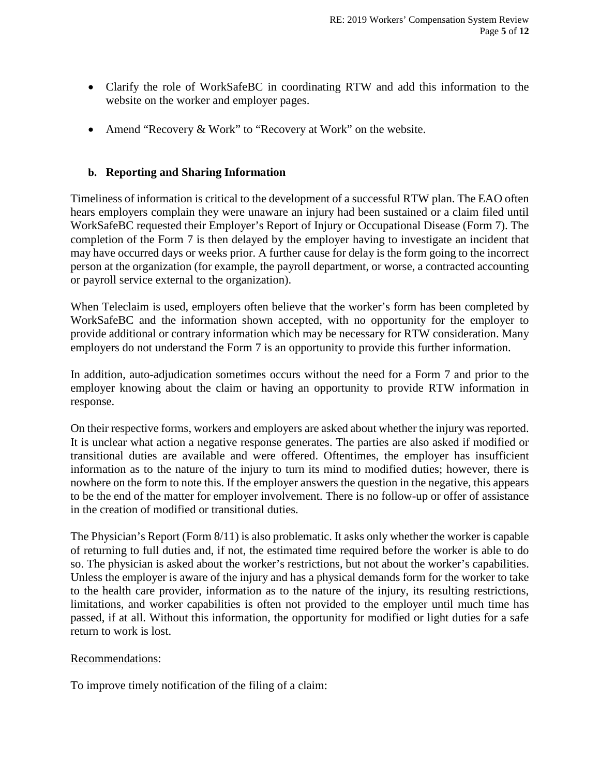- Clarify the role of WorkSafeBC in coordinating RTW and add this information to the website on the worker and employer pages.
- Amend "Recovery & Work" to "Recovery at Work" on the website.

#### **b. Reporting and Sharing Information**

Timeliness of information is critical to the development of a successful RTW plan. The EAO often hears employers complain they were unaware an injury had been sustained or a claim filed until WorkSafeBC requested their Employer's Report of Injury or Occupational Disease (Form 7). The completion of the Form 7 is then delayed by the employer having to investigate an incident that may have occurred days or weeks prior. A further cause for delay is the form going to the incorrect person at the organization (for example, the payroll department, or worse, a contracted accounting or payroll service external to the organization).

When Teleclaim is used, employers often believe that the worker's form has been completed by WorkSafeBC and the information shown accepted, with no opportunity for the employer to provide additional or contrary information which may be necessary for RTW consideration. Many employers do not understand the Form 7 is an opportunity to provide this further information.

In addition, auto-adjudication sometimes occurs without the need for a Form 7 and prior to the employer knowing about the claim or having an opportunity to provide RTW information in response.

On their respective forms, workers and employers are asked about whether the injury was reported. It is unclear what action a negative response generates. The parties are also asked if modified or transitional duties are available and were offered. Oftentimes, the employer has insufficient information as to the nature of the injury to turn its mind to modified duties; however, there is nowhere on the form to note this. If the employer answers the question in the negative, this appears to be the end of the matter for employer involvement. There is no follow-up or offer of assistance in the creation of modified or transitional duties.

The Physician's Report (Form 8/11) is also problematic. It asks only whether the worker is capable of returning to full duties and, if not, the estimated time required before the worker is able to do so. The physician is asked about the worker's restrictions, but not about the worker's capabilities. Unless the employer is aware of the injury and has a physical demands form for the worker to take to the health care provider, information as to the nature of the injury, its resulting restrictions, limitations, and worker capabilities is often not provided to the employer until much time has passed, if at all. Without this information, the opportunity for modified or light duties for a safe return to work is lost.

#### Recommendations:

To improve timely notification of the filing of a claim: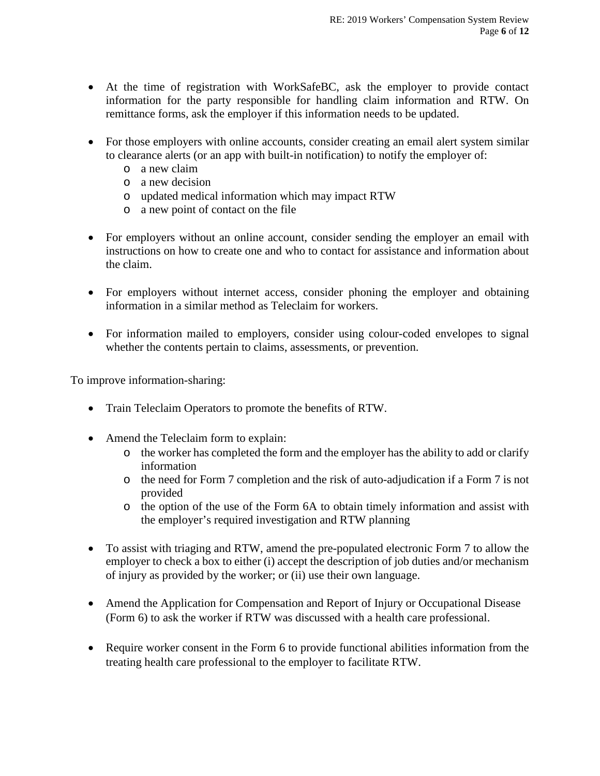- At the time of registration with WorkSafeBC, ask the employer to provide contact information for the party responsible for handling claim information and RTW. On remittance forms, ask the employer if this information needs to be updated.
- For those employers with online accounts, consider creating an email alert system similar to clearance alerts (or an app with built-in notification) to notify the employer of:
	- o a new claim
	- o a new decision
	- o updated medical information which may impact RTW
	- o a new point of contact on the file
- For employers without an online account, consider sending the employer an email with instructions on how to create one and who to contact for assistance and information about the claim.
- For employers without internet access, consider phoning the employer and obtaining information in a similar method as Teleclaim for workers.
- For information mailed to employers, consider using colour-coded envelopes to signal whether the contents pertain to claims, assessments, or prevention.

To improve information-sharing:

- Train Teleclaim Operators to promote the benefits of RTW.
- Amend the Teleclaim form to explain:
	- o the worker has completed the form and the employer has the ability to add or clarify information
	- o the need for Form 7 completion and the risk of auto-adjudication if a Form 7 is not provided
	- o the option of the use of the Form 6A to obtain timely information and assist with the employer's required investigation and RTW planning
- To assist with triaging and RTW, amend the pre-populated electronic Form 7 to allow the employer to check a box to either (i) accept the description of job duties and/or mechanism of injury as provided by the worker; or (ii) use their own language.
- Amend the Application for Compensation and Report of Injury or Occupational Disease (Form 6) to ask the worker if RTW was discussed with a health care professional.
- Require worker consent in the Form 6 to provide functional abilities information from the treating health care professional to the employer to facilitate RTW.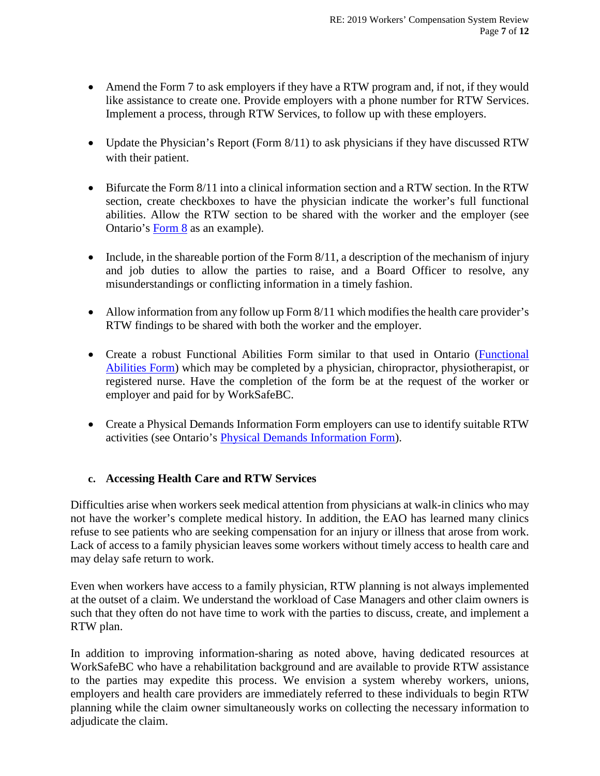- Amend the Form 7 to ask employers if they have a RTW program and, if not, if they would like assistance to create one. Provide employers with a phone number for RTW Services. Implement a process, through RTW Services, to follow up with these employers.
- Update the Physician's Report (Form 8/11) to ask physicians if they have discussed RTW with their patient.
- Bifurcate the Form 8/11 into a clinical information section and a RTW section. In the RTW section, create checkboxes to have the physician indicate the worker's full functional abilities. Allow the RTW section to be shared with the worker and the employer (see Ontario's [Form 8](https://www.wsib.ca/sites/default/files/2019-02/0008a_08_11_fs_rv_09_18.pdf) as an example).
- Include, in the shareable portion of the Form  $8/11$ , a description of the mechanism of injury and job duties to allow the parties to raise, and a Board Officer to resolve, any misunderstandings or conflicting information in a timely fashion.
- Allow information from any follow up Form 8/11 which modifies the health care provider's RTW findings to be shared with both the worker and the employer.
- Create a robust Functional Abilities Form similar to that used in Ontario (Functional [Abilities Form\)](https://www.wsib.ca/sites/default/files/2019-02/2647a_fs_07_06.pdf) which may be completed by a physician, chiropractor, physiotherapist, or registered nurse. Have the completion of the form be at the request of the worker or employer and paid for by WorkSafeBC.
- Create a Physical Demands Information Form employers can use to identify suitable RTW activities (see Ontario's [Physical Demands Information Form\)](https://www.wsib.ca/sites/default/files/2019-02/pdif_1.pdf).

### **c. Accessing Health Care and RTW Services**

Difficulties arise when workers seek medical attention from physicians at walk-in clinics who may not have the worker's complete medical history. In addition, the EAO has learned many clinics refuse to see patients who are seeking compensation for an injury or illness that arose from work. Lack of access to a family physician leaves some workers without timely access to health care and may delay safe return to work.

Even when workers have access to a family physician, RTW planning is not always implemented at the outset of a claim. We understand the workload of Case Managers and other claim owners is such that they often do not have time to work with the parties to discuss, create, and implement a RTW plan.

In addition to improving information-sharing as noted above, having dedicated resources at WorkSafeBC who have a rehabilitation background and are available to provide RTW assistance to the parties may expedite this process. We envision a system whereby workers, unions, employers and health care providers are immediately referred to these individuals to begin RTW planning while the claim owner simultaneously works on collecting the necessary information to adjudicate the claim.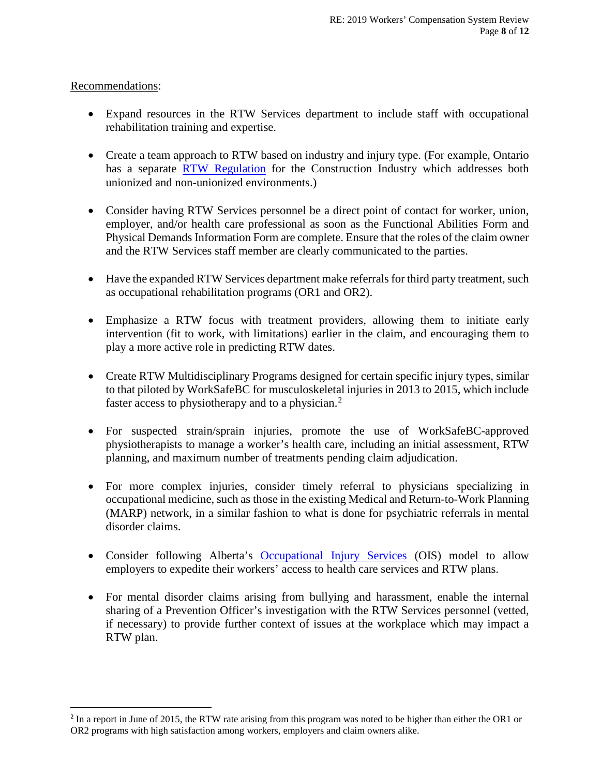### Recommendations:

 $\overline{a}$ 

- Expand resources in the RTW Services department to include staff with occupational rehabilitation training and expertise.
- Create a team approach to RTW based on industry and injury type. (For example, Ontario has a separate [RTW Regulation](https://www.ontario.ca/laws/regulation/r08035) for the Construction Industry which addresses both unionized and non-unionized environments.)
- Consider having RTW Services personnel be a direct point of contact for worker, union, employer, and/or health care professional as soon as the Functional Abilities Form and Physical Demands Information Form are complete. Ensure that the roles of the claim owner and the RTW Services staff member are clearly communicated to the parties.
- Have the expanded RTW Services department make referrals for third party treatment, such as occupational rehabilitation programs (OR1 and OR2).
- Emphasize a RTW focus with treatment providers, allowing them to initiate early intervention (fit to work, with limitations) earlier in the claim, and encouraging them to play a more active role in predicting RTW dates.
- Create RTW Multidisciplinary Programs designed for certain specific injury types, similar to that piloted by WorkSafeBC for musculoskeletal injuries in 2013 to 2015, which include faster access to physiotherapy and to a physician.<sup>[2](#page-7-0)</sup>
- For suspected strain/sprain injuries, promote the use of WorkSafeBC-approved physiotherapists to manage a worker's health care, including an initial assessment, RTW planning, and maximum number of treatments pending claim adjudication.
- For more complex injuries, consider timely referral to physicians specializing in occupational medicine, such as those in the existing Medical and Return-to-Work Planning (MARP) network, in a similar fashion to what is done for psychiatric referrals in mental disorder claims.
- Consider following Alberta's [Occupational Injury Services](https://www.wcb.ab.ca/insurance-and-premiums/lower-your-premiums/occupational-injury-service-(ois).html) (OIS) model to allow employers to expedite their workers' access to health care services and RTW plans.
- For mental disorder claims arising from bullying and harassment, enable the internal sharing of a Prevention Officer's investigation with the RTW Services personnel (vetted, if necessary) to provide further context of issues at the workplace which may impact a RTW plan.

<span id="page-7-0"></span><sup>&</sup>lt;sup>2</sup> In a report in June of 2015, the RTW rate arising from this program was noted to be higher than either the OR1 or OR2 programs with high satisfaction among workers, employers and claim owners alike.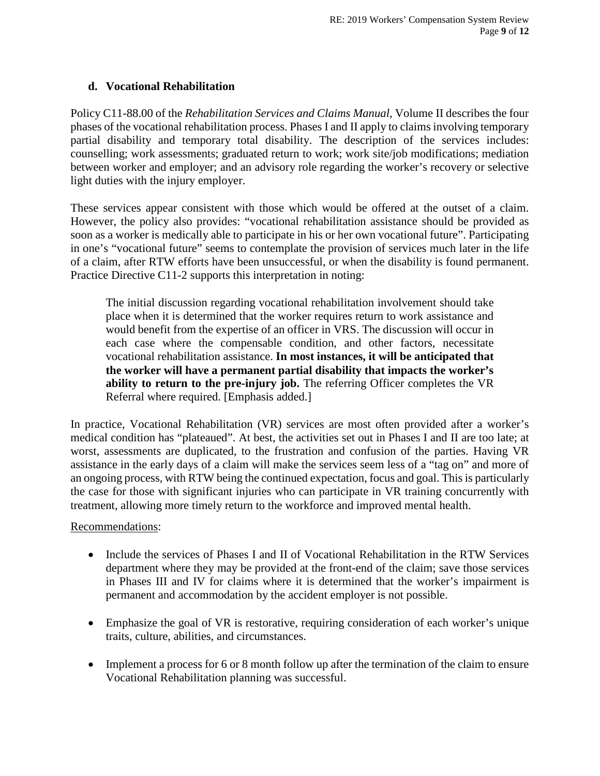### **d. Vocational Rehabilitation**

Policy C11-88.00 of the *Rehabilitation Services and Claims Manual*, Volume II describes the four phases of the vocational rehabilitation process. Phases I and II apply to claims involving temporary partial disability and temporary total disability. The description of the services includes: counselling; work assessments; graduated return to work; work site/job modifications; mediation between worker and employer; and an advisory role regarding the worker's recovery or selective light duties with the injury employer.

These services appear consistent with those which would be offered at the outset of a claim. However, the policy also provides: "vocational rehabilitation assistance should be provided as soon as a worker is medically able to participate in his or her own vocational future". Participating in one's "vocational future" seems to contemplate the provision of services much later in the life of a claim, after RTW efforts have been unsuccessful, or when the disability is found permanent. Practice Directive C11-2 supports this interpretation in noting:

The initial discussion regarding vocational rehabilitation involvement should take place when it is determined that the worker requires return to work assistance and would benefit from the expertise of an officer in VRS. The discussion will occur in each case where the compensable condition, and other factors, necessitate vocational rehabilitation assistance. **In most instances, it will be anticipated that the worker will have a permanent partial disability that impacts the worker's ability to return to the pre-injury job.** The referring Officer completes the VR Referral where required. [Emphasis added.]

In practice, Vocational Rehabilitation (VR) services are most often provided after a worker's medical condition has "plateaued". At best, the activities set out in Phases I and II are too late; at worst, assessments are duplicated, to the frustration and confusion of the parties. Having VR assistance in the early days of a claim will make the services seem less of a "tag on" and more of an ongoing process, with RTW being the continued expectation, focus and goal. This is particularly the case for those with significant injuries who can participate in VR training concurrently with treatment, allowing more timely return to the workforce and improved mental health.

#### Recommendations:

- Include the services of Phases I and II of Vocational Rehabilitation in the RTW Services department where they may be provided at the front-end of the claim; save those services in Phases III and IV for claims where it is determined that the worker's impairment is permanent and accommodation by the accident employer is not possible.
- Emphasize the goal of VR is restorative, requiring consideration of each worker's unique traits, culture, abilities, and circumstances.
- Implement a process for 6 or 8 month follow up after the termination of the claim to ensure Vocational Rehabilitation planning was successful.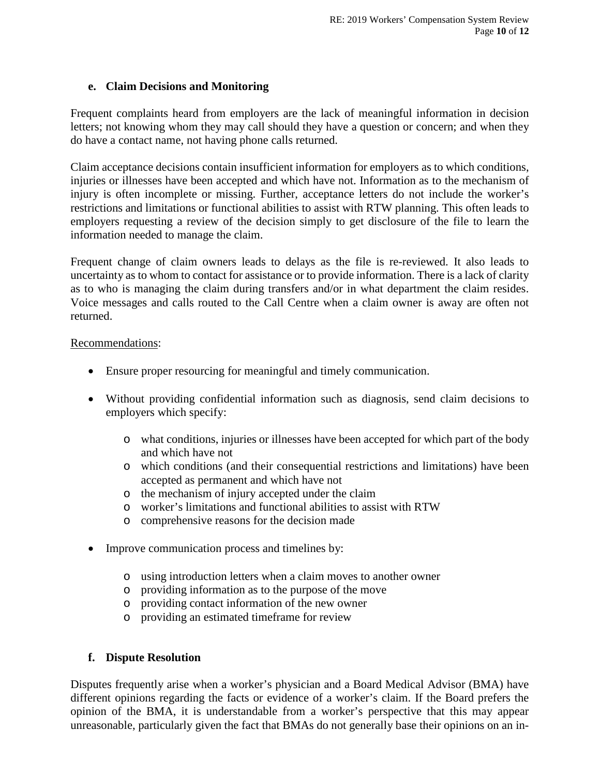#### **e. Claim Decisions and Monitoring**

Frequent complaints heard from employers are the lack of meaningful information in decision letters; not knowing whom they may call should they have a question or concern; and when they do have a contact name, not having phone calls returned.

Claim acceptance decisions contain insufficient information for employers as to which conditions, injuries or illnesses have been accepted and which have not. Information as to the mechanism of injury is often incomplete or missing. Further, acceptance letters do not include the worker's restrictions and limitations or functional abilities to assist with RTW planning. This often leads to employers requesting a review of the decision simply to get disclosure of the file to learn the information needed to manage the claim.

Frequent change of claim owners leads to delays as the file is re-reviewed. It also leads to uncertainty as to whom to contact for assistance or to provide information. There is a lack of clarity as to who is managing the claim during transfers and/or in what department the claim resides. Voice messages and calls routed to the Call Centre when a claim owner is away are often not returned.

#### Recommendations:

- Ensure proper resourcing for meaningful and timely communication.
- Without providing confidential information such as diagnosis, send claim decisions to employers which specify:
	- o what conditions, injuries or illnesses have been accepted for which part of the body and which have not
	- o which conditions (and their consequential restrictions and limitations) have been accepted as permanent and which have not
	- o the mechanism of injury accepted under the claim
	- o worker's limitations and functional abilities to assist with RTW
	- o comprehensive reasons for the decision made
- Improve communication process and timelines by:
	- o using introduction letters when a claim moves to another owner
	- o providing information as to the purpose of the move
	- o providing contact information of the new owner
	- o providing an estimated timeframe for review

### **f. Dispute Resolution**

Disputes frequently arise when a worker's physician and a Board Medical Advisor (BMA) have different opinions regarding the facts or evidence of a worker's claim. If the Board prefers the opinion of the BMA, it is understandable from a worker's perspective that this may appear unreasonable, particularly given the fact that BMAs do not generally base their opinions on an in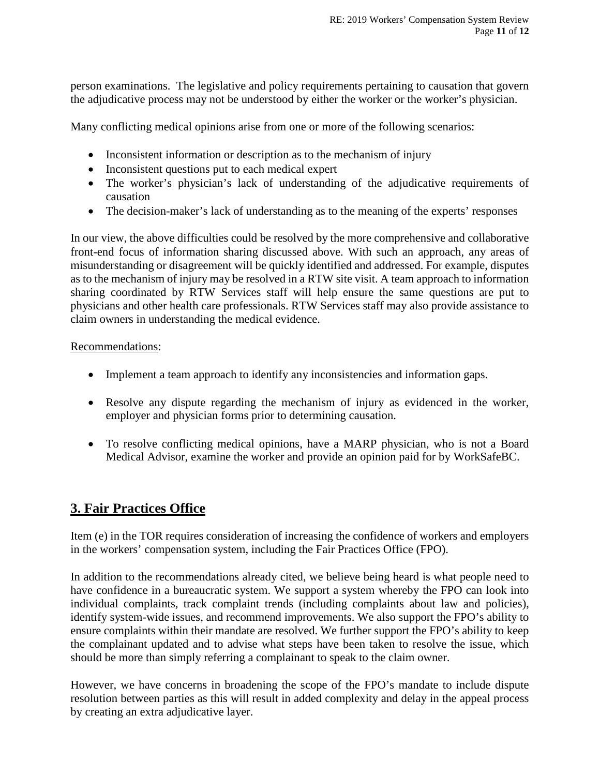person examinations. The legislative and policy requirements pertaining to causation that govern the adjudicative process may not be understood by either the worker or the worker's physician.

Many conflicting medical opinions arise from one or more of the following scenarios:

- Inconsistent information or description as to the mechanism of injury
- Inconsistent questions put to each medical expert
- The worker's physician's lack of understanding of the adjudicative requirements of causation
- The decision-maker's lack of understanding as to the meaning of the experts' responses

In our view, the above difficulties could be resolved by the more comprehensive and collaborative front-end focus of information sharing discussed above. With such an approach, any areas of misunderstanding or disagreement will be quickly identified and addressed. For example, disputes as to the mechanism of injury may be resolved in a RTW site visit. A team approach to information sharing coordinated by RTW Services staff will help ensure the same questions are put to physicians and other health care professionals. RTW Services staff may also provide assistance to claim owners in understanding the medical evidence.

### Recommendations:

- Implement a team approach to identify any inconsistencies and information gaps.
- Resolve any dispute regarding the mechanism of injury as evidenced in the worker, employer and physician forms prior to determining causation.
- To resolve conflicting medical opinions, have a MARP physician, who is not a Board Medical Advisor, examine the worker and provide an opinion paid for by WorkSafeBC.

# **3. Fair Practices Office**

Item (e) in the TOR requires consideration of increasing the confidence of workers and employers in the workers' compensation system, including the Fair Practices Office (FPO).

In addition to the recommendations already cited, we believe being heard is what people need to have confidence in a bureaucratic system. We support a system whereby the FPO can look into individual complaints, track complaint trends (including complaints about law and policies), identify system-wide issues, and recommend improvements. We also support the FPO's ability to ensure complaints within their mandate are resolved. We further support the FPO's ability to keep the complainant updated and to advise what steps have been taken to resolve the issue, which should be more than simply referring a complainant to speak to the claim owner.

However, we have concerns in broadening the scope of the FPO's mandate to include dispute resolution between parties as this will result in added complexity and delay in the appeal process by creating an extra adjudicative layer.